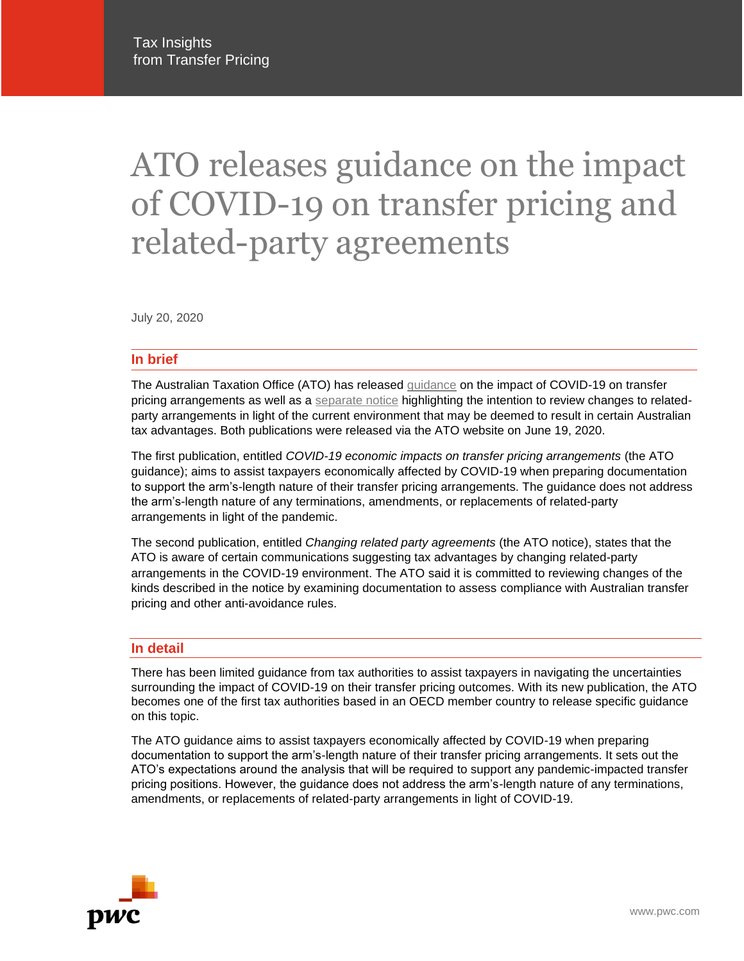# ATO releases guidance on the impact of COVID-19 on transfer pricing and related-party agreements

July 20, 2020

# **In brief**

The Australian Taxation Office (ATO) has released [guidance](https://www.ato.gov.au/Business/International-tax-for-business/In-detail/Transfer-pricing/COVID-19-economic-impacts-on-transfer-pricing-arrangements/) on the impact of COVID-19 on transfer pricing arrangements as well as a [separate notice](https://www.ato.gov.au/Business/Business-bulletins-newsroom/General/Changing-related-party-agreements/) highlighting the intention to review changes to relatedparty arrangements in light of the current environment that may be deemed to result in certain Australian tax advantages. Both publications were released via the ATO website on June 19, 2020.

The first publication, entitled *COVID-19 economic impacts on transfer pricing arrangements* (the ATO guidance); aims to assist taxpayers economically affected by COVID-19 when preparing documentation to support the arm's-length nature of their transfer pricing arrangements. The guidance does not address the arm's-length nature of any terminations, amendments, or replacements of related-party arrangements in light of the pandemic.

The second publication, entitled *Changing related party agreements* (the ATO notice), states that the ATO is aware of certain communications suggesting tax advantages by changing related-party arrangements in the COVID-19 environment. The ATO said it is committed to reviewing changes of the kinds described in the notice by examining documentation to assess compliance with Australian transfer pricing and other anti-avoidance rules.

#### **In detail**

There has been limited guidance from tax authorities to assist taxpayers in navigating the uncertainties surrounding the impact of COVID-19 on their transfer pricing outcomes. With its new publication, the ATO becomes one of the first tax authorities based in an OECD member country to release specific guidance on this topic.

The ATO guidance aims to assist taxpayers economically affected by COVID-19 when preparing documentation to support the arm's-length nature of their transfer pricing arrangements. It sets out the ATO's expectations around the analysis that will be required to support any pandemic-impacted transfer pricing positions. However, the guidance does not address the arm's-length nature of any terminations, amendments, or replacements of related-party arrangements in light of COVID-19.

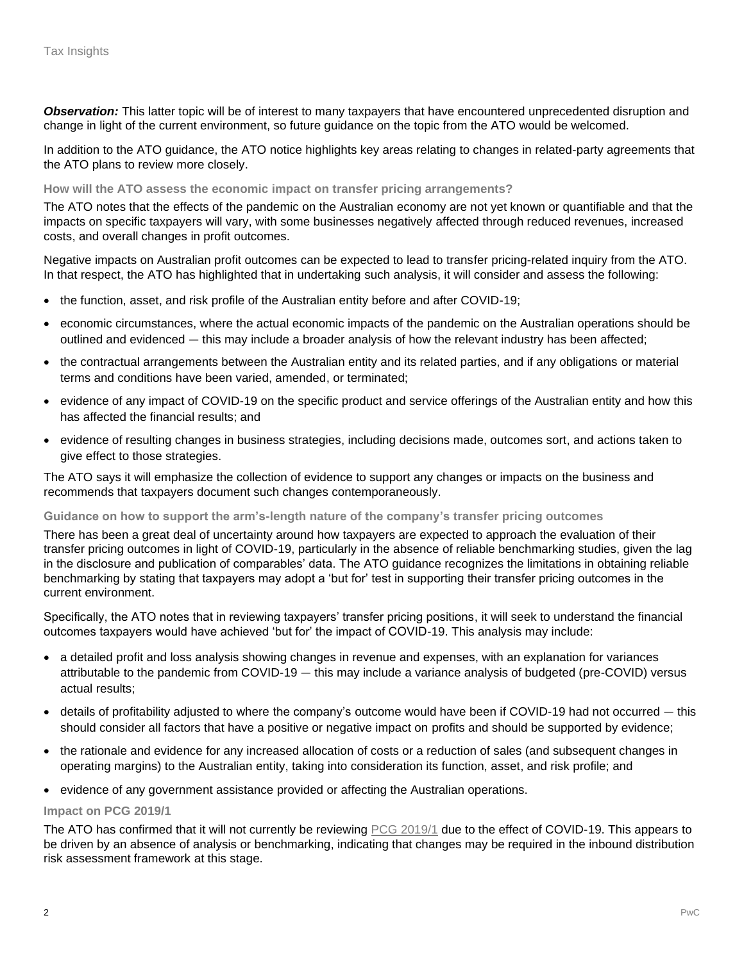*Observation:* This latter topic will be of interest to many taxpayers that have encountered unprecedented disruption and change in light of the current environment, so future guidance on the topic from the ATO would be welcomed.

In addition to the ATO guidance, the ATO notice highlights key areas relating to changes in related-party agreements that the ATO plans to review more closely.

#### **How will the ATO assess the economic impact on transfer pricing arrangements?**

The ATO notes that the effects of the pandemic on the Australian economy are not yet known or quantifiable and that the impacts on specific taxpayers will vary, with some businesses negatively affected through reduced revenues, increased costs, and overall changes in profit outcomes.

Negative impacts on Australian profit outcomes can be expected to lead to transfer pricing-related inquiry from the ATO. In that respect, the ATO has highlighted that in undertaking such analysis, it will consider and assess the following:

- the function, asset, and risk profile of the Australian entity before and after COVID-19;
- economic circumstances, where the actual economic impacts of the pandemic on the Australian operations should be outlined and evidenced — this may include a broader analysis of how the relevant industry has been affected;
- the contractual arrangements between the Australian entity and its related parties, and if any obligations or material terms and conditions have been varied, amended, or terminated;
- evidence of any impact of COVID-19 on the specific product and service offerings of the Australian entity and how this has affected the financial results; and
- evidence of resulting changes in business strategies, including decisions made, outcomes sort, and actions taken to give effect to those strategies.

The ATO says it will emphasize the collection of evidence to support any changes or impacts on the business and recommends that taxpayers document such changes contemporaneously.

## **Guidance on how to support the arm's-length nature of the company's transfer pricing outcomes**

There has been a great deal of uncertainty around how taxpayers are expected to approach the evaluation of their transfer pricing outcomes in light of COVID-19, particularly in the absence of reliable benchmarking studies, given the lag in the disclosure and publication of comparables' data. The ATO guidance recognizes the limitations in obtaining reliable benchmarking by stating that taxpayers may adopt a 'but for' test in supporting their transfer pricing outcomes in the current environment.

Specifically, the ATO notes that in reviewing taxpayers' transfer pricing positions, it will seek to understand the financial outcomes taxpayers would have achieved 'but for' the impact of COVID-19. This analysis may include:

- a detailed profit and loss analysis showing changes in revenue and expenses, with an explanation for variances attributable to the pandemic from COVID-19 — this may include a variance analysis of budgeted (pre-COVID) versus actual results;
- details of profitability adjusted to where the company's outcome would have been if COVID-19 had not occurred this should consider all factors that have a positive or negative impact on profits and should be supported by evidence;
- the rationale and evidence for any increased allocation of costs or a reduction of sales (and subsequent changes in operating margins) to the Australian entity, taking into consideration its function, asset, and risk profile; and
- evidence of any government assistance provided or affecting the Australian operations.

#### **Impact on PCG 2019/1**

The ATO has confirmed that it will not currently be reviewing [PCG 2019/1](https://www.pwc.com/gx/en/tax/newsletters/pricing-knowledge-network/assets/pwc-tp-australia-pcg.pdf) due to the effect of COVID-19. This appears to be driven by an absence of analysis or benchmarking, indicating that changes may be required in the inbound distribution risk assessment framework at this stage.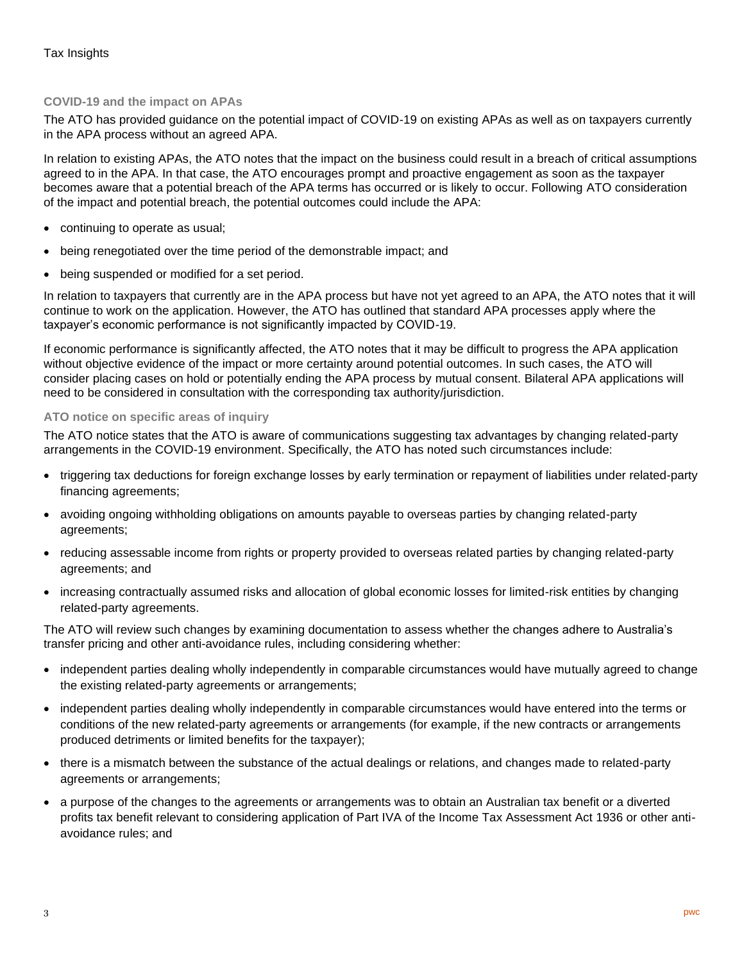# **COVID-19 and the impact on APAs**

The ATO has provided guidance on the potential impact of COVID-19 on existing APAs as well as on taxpayers currently in the APA process without an agreed APA.

In relation to existing APAs, the ATO notes that the impact on the business could result in a breach of critical assumptions agreed to in the APA. In that case, the ATO encourages prompt and proactive engagement as soon as the taxpayer becomes aware that a potential breach of the APA terms has occurred or is likely to occur. Following ATO consideration of the impact and potential breach, the potential outcomes could include the APA:

- continuing to operate as usual;
- being renegotiated over the time period of the demonstrable impact; and
- being suspended or modified for a set period.

In relation to taxpayers that currently are in the APA process but have not yet agreed to an APA, the ATO notes that it will continue to work on the application. However, the ATO has outlined that standard APA processes apply where the taxpayer's economic performance is not significantly impacted by COVID-19.

If economic performance is significantly affected, the ATO notes that it may be difficult to progress the APA application without objective evidence of the impact or more certainty around potential outcomes. In such cases, the ATO will consider placing cases on hold or potentially ending the APA process by mutual consent. Bilateral APA applications will need to be considered in consultation with the corresponding tax authority/jurisdiction.

## **ATO notice on specific areas of inquiry**

The ATO notice states that the ATO is aware of communications suggesting tax advantages by changing related-party arrangements in the COVID-19 environment. Specifically, the ATO has noted such circumstances include:

- triggering tax deductions for foreign exchange losses by early termination or repayment of liabilities under related-party financing agreements;
- avoiding ongoing withholding obligations on amounts payable to overseas parties by changing related-party agreements;
- reducing assessable income from rights or property provided to overseas related parties by changing related-party agreements; and
- increasing contractually assumed risks and allocation of global economic losses for limited-risk entities by changing related-party agreements.

The ATO will review such changes by examining documentation to assess whether the changes adhere to Australia's transfer pricing and other anti-avoidance rules, including considering whether:

- independent parties dealing wholly independently in comparable circumstances would have mutually agreed to change the existing related-party agreements or arrangements;
- independent parties dealing wholly independently in comparable circumstances would have entered into the terms or conditions of the new related-party agreements or arrangements (for example, if the new contracts or arrangements produced detriments or limited benefits for the taxpayer);
- there is a mismatch between the substance of the actual dealings or relations, and changes made to related-party agreements or arrangements;
- a purpose of the changes to the agreements or arrangements was to obtain an Australian tax benefit or a diverted profits tax benefit relevant to considering application of Part IVA of the Income Tax Assessment Act 1936 or other antiavoidance rules; and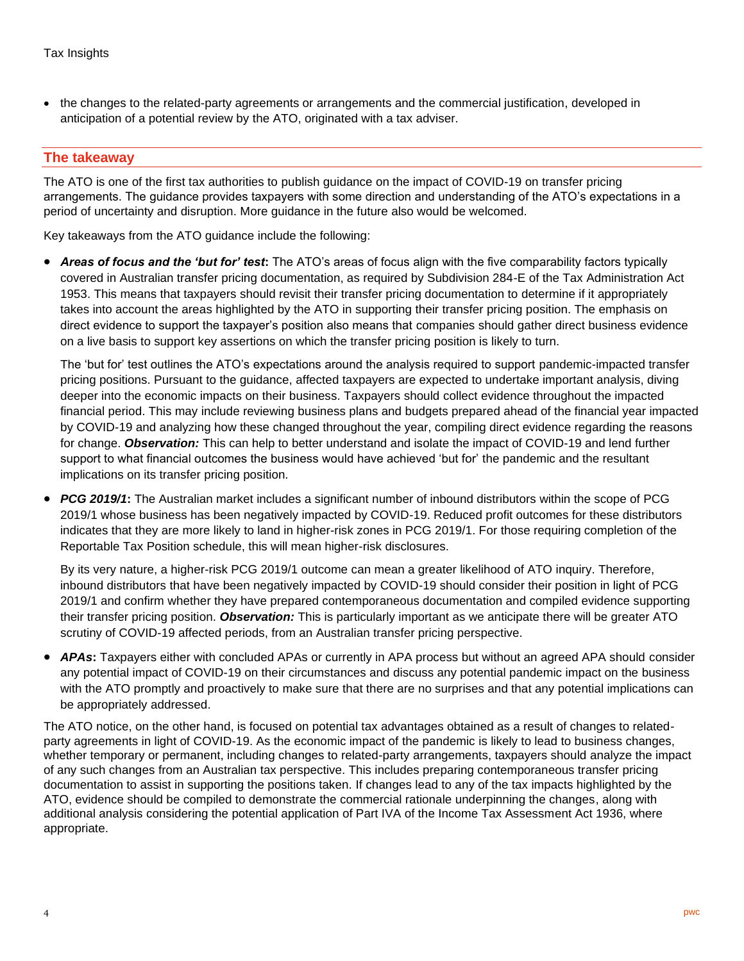• the changes to the related-party agreements or arrangements and the commercial justification, developed in anticipation of a potential review by the ATO, originated with a tax adviser.

# **The takeaway**

The ATO is one of the first tax authorities to publish guidance on the impact of COVID-19 on transfer pricing arrangements. The guidance provides taxpayers with some direction and understanding of the ATO's expectations in a period of uncertainty and disruption. More guidance in the future also would be welcomed.

Key takeaways from the ATO guidance include the following:

• *Areas of focus and the 'but for' test***:** The ATO's areas of focus align with the five comparability factors typically covered in Australian transfer pricing documentation, as required by Subdivision 284-E of the Tax Administration Act 1953. This means that taxpayers should revisit their transfer pricing documentation to determine if it appropriately takes into account the areas highlighted by the ATO in supporting their transfer pricing position. The emphasis on direct evidence to support the taxpayer's position also means that companies should gather direct business evidence on a live basis to support key assertions on which the transfer pricing position is likely to turn.

The 'but for' test outlines the ATO's expectations around the analysis required to support pandemic-impacted transfer pricing positions. Pursuant to the guidance, affected taxpayers are expected to undertake important analysis, diving deeper into the economic impacts on their business. Taxpayers should collect evidence throughout the impacted financial period. This may include reviewing business plans and budgets prepared ahead of the financial year impacted by COVID-19 and analyzing how these changed throughout the year, compiling direct evidence regarding the reasons for change. *Observation:* This can help to better understand and isolate the impact of COVID-19 and lend further support to what financial outcomes the business would have achieved 'but for' the pandemic and the resultant implications on its transfer pricing position.

• *PCG 2019/1***:** The Australian market includes a significant number of inbound distributors within the scope of PCG 2019/1 whose business has been negatively impacted by COVID-19. Reduced profit outcomes for these distributors indicates that they are more likely to land in higher-risk zones in PCG 2019/1. For those requiring completion of the Reportable Tax Position schedule, this will mean higher-risk disclosures.

By its very nature, a higher-risk PCG 2019/1 outcome can mean a greater likelihood of ATO inquiry. Therefore, inbound distributors that have been negatively impacted by COVID-19 should consider their position in light of PCG 2019/1 and confirm whether they have prepared contemporaneous documentation and compiled evidence supporting their transfer pricing position. *Observation:* This is particularly important as we anticipate there will be greater ATO scrutiny of COVID-19 affected periods, from an Australian transfer pricing perspective.

• *APAs***:** Taxpayers either with concluded APAs or currently in APA process but without an agreed APA should consider any potential impact of COVID-19 on their circumstances and discuss any potential pandemic impact on the business with the ATO promptly and proactively to make sure that there are no surprises and that any potential implications can be appropriately addressed.

The ATO notice, on the other hand, is focused on potential tax advantages obtained as a result of changes to relatedparty agreements in light of COVID-19. As the economic impact of the pandemic is likely to lead to business changes, whether temporary or permanent, including changes to related-party arrangements, taxpayers should analyze the impact of any such changes from an Australian tax perspective. This includes preparing contemporaneous transfer pricing documentation to assist in supporting the positions taken. If changes lead to any of the tax impacts highlighted by the ATO, evidence should be compiled to demonstrate the commercial rationale underpinning the changes, along with additional analysis considering the potential application of Part IVA of the Income Tax Assessment Act 1936, where appropriate.